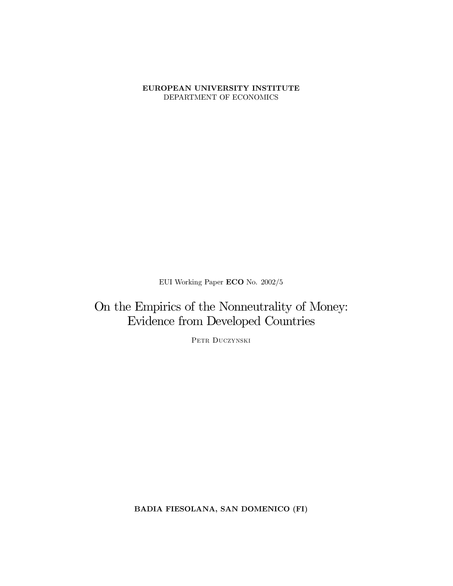#### EUROPEAN UNIVERSITY INSTITUTE DEPARTMENT OF ECONOMICS

EUI Working Paper  $ECO$  No.  $2002/5$ 

On the Empirics of the Nonneutrality of Money: Evidence from Developed Countries

PETR DUCZYNSKI

BADIA FIESOLANA, SAN DOMENICO (FI)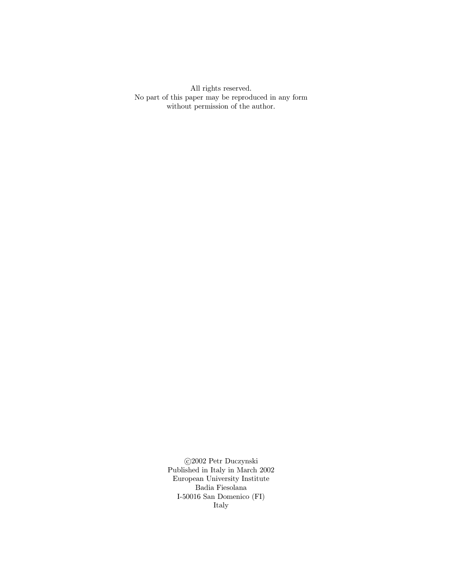All rights reserved. No part of this paper may be reproduced in any form without permission of the author.

> $\odot$ 2002 Petr Duczynski Published in Italy in March 2002 European University Institute Badia Fiesolana I-50016 San Domenico  $(FI)$ Italy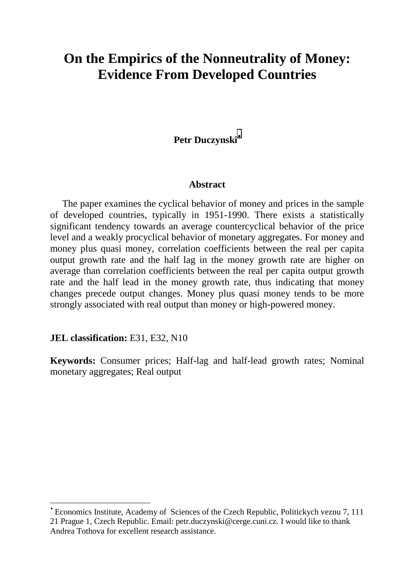# **On the Empirics of the Nonneutrality of Money: Evidence From Developed Countries**

## **Petr Duczynski**•

#### **Abstract**

 The paper examines the cyclical behavior of money and prices in the sample of developed countries, typically in 1951-1990. There exists a statistically significant tendency towards an average countercyclical behavior of the price level and a weakly procyclical behavior of monetary aggregates. For money and money plus quasi money, correlation coefficients between the real per capita output growth rate and the half lag in the money growth rate are higher on average than correlation coefficients between the real per capita output growth rate and the half lead in the money growth rate, thus indicating that money changes precede output changes. Money plus quasi money tends to be more strongly associated with real output than money or high-powered money.

**JEL classification: E31, E32, N10** 

 $\overline{\phantom{a}}$ 

**Keywords:** Consumer prices; Half-lag and half-lead growth rates; Nominal monetary aggregates; Real output

<sup>•</sup> Economics Institute, Academy of Sciences of the Czech Republic, Politickych veznu 7, 111 21 Prague 1, Czech Republic. Email: petr.duczynski@cerge.cuni.cz. I would like to thank Andrea Tothova for excellent research assistance.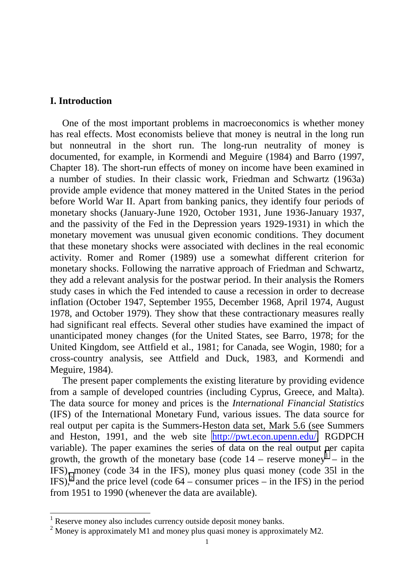## **I. Introduction**

 $\overline{a}$ 

 One of the most important problems in macroeconomics is whether money has real effects. Most economists believe that money is neutral in the long run but nonneutral in the short run. The long-run neutrality of money is documented, for example, in Kormendi and Meguire (1984) and Barro (1997, Chapter 18). The short-run effects of money on income have been examined in a number of studies. In their classic work, Friedman and Schwartz (1963a) provide ample evidence that money mattered in the United States in the period before World War II. Apart from banking panics, they identify four periods of monetary shocks (January-June 1920, October 1931, June 1936-January 1937, and the passivity of the Fed in the Depression years 1929-1931) in which the monetary movement was unusual given economic conditions. They document that these monetary shocks were associated with declines in the real economic activity. Romer and Romer (1989) use a somewhat different criterion for monetary shocks. Following the narrative approach of Friedman and Schwartz, they add a relevant analysis for the postwar period. In their analysis the Romers study cases in which the Fed intended to cause a recession in order to decrease inflation (October 1947, September 1955, December 1968, April 1974, August 1978, and October 1979). They show that these contractionary measures really had significant real effects. Several other studies have examined the impact of unanticipated money changes (for the United States, see Barro, 1978; for the United Kingdom, see Attfield et al., 1981; for Canada, see Wogin, 1980; for a cross-country analysis, see Attfield and Duck, 1983, and Kormendi and Meguire, 1984).

 The present paper complements the existing literature by providing evidence from a sample of developed countries (including Cyprus, Greece, and Malta). The data source for money and prices is the *International Financial Statistics* (IFS) of the International Monetary Fund, various issues. The data source for real output per capita is the Summers-Heston data set, Mark 5.6 (see Summers and Heston, 1991, and the web site [http://pwt.econ.upenn.edu/,](http://pwt.econ.upenn.edu/) RGDPCH variable). The paper examines the series of data on the real output per capita growth, the growth of the monetary base (code  $14$  – reserve money<sup>1</sup> – in the IFS), money (code 34 in the IFS), money plus quasi money (code 35l in the  $(\text{IFS})^2$  and the price level (code 64 – consumer prices – in the IFS) in the period from 1951 to 1990 (whenever the data are available).

<sup>&</sup>lt;sup>1</sup> Reserve money also includes currency outside deposit money banks.

 $2^{2}$  Money is approximately M1 and money plus quasi money is approximately M2.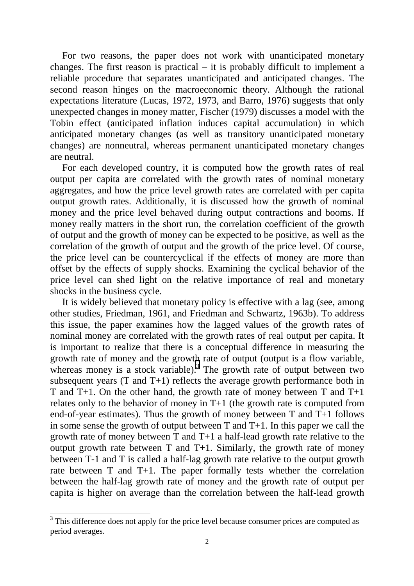For two reasons, the paper does not work with unanticipated monetary changes. The first reason is practical – it is probably difficult to implement a reliable procedure that separates unanticipated and anticipated changes. The second reason hinges on the macroeconomic theory. Although the rational expectations literature (Lucas, 1972, 1973, and Barro, 1976) suggests that only unexpected changes in money matter, Fischer (1979) discusses a model with the Tobin effect (anticipated inflation induces capital accumulation) in which anticipated monetary changes (as well as transitory unanticipated monetary changes) are nonneutral, whereas permanent unanticipated monetary changes are neutral.

 For each developed country, it is computed how the growth rates of real output per capita are correlated with the growth rates of nominal monetary aggregates, and how the price level growth rates are correlated with per capita output growth rates. Additionally, it is discussed how the growth of nominal money and the price level behaved during output contractions and booms. If money really matters in the short run, the correlation coefficient of the growth of output and the growth of money can be expected to be positive, as well as the correlation of the growth of output and the growth of the price level. Of course, the price level can be countercyclical if the effects of money are more than offset by the effects of supply shocks. Examining the cyclical behavior of the price level can shed light on the relative importance of real and monetary shocks in the business cycle.

 It is widely believed that monetary policy is effective with a lag (see, among other studies, Friedman, 1961, and Friedman and Schwartz, 1963b). To address this issue, the paper examines how the lagged values of the growth rates of nominal money are correlated with the growth rates of real output per capita. It is important to realize that there is a conceptual difference in measuring the growth rate of money and the growth rate of output (output is a flow variable, whereas money is a stock variable).<sup>3</sup> The growth rate of output between two subsequent years  $(T \text{ and } T+1)$  reflects the average growth performance both in T and T+1. On the other hand, the growth rate of money between T and T+1 relates only to the behavior of money in T+1 (the growth rate is computed from end-of-year estimates). Thus the growth of money between T and T+1 follows in some sense the growth of output between  $T$  and  $T+1$ . In this paper we call the growth rate of money between T and T+1 a half-lead growth rate relative to the output growth rate between  $T$  and  $T+1$ . Similarly, the growth rate of money between T-1 and T is called a half-lag growth rate relative to the output growth rate between T and T+1. The paper formally tests whether the correlation between the half-lag growth rate of money and the growth rate of output per capita is higher on average than the correlation between the half-lead growth

<sup>&</sup>lt;sup>3</sup>This difference does not apply for the price level because consumer prices are computed as period averages.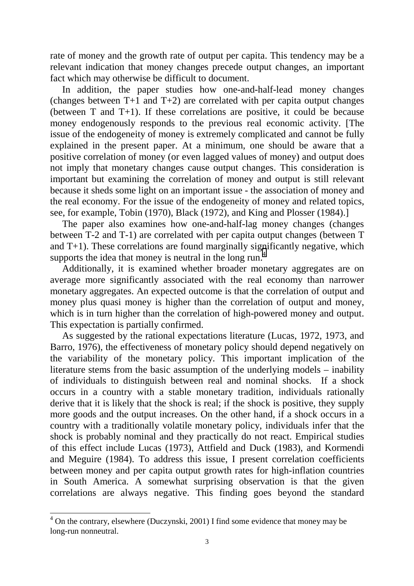rate of money and the growth rate of output per capita. This tendency may be a relevant indication that money changes precede output changes, an important fact which may otherwise be difficult to document.

 In addition, the paper studies how one-and-half-lead money changes (changes between T+1 and T+2) are correlated with per capita output changes (between T and T+1). If these correlations are positive, it could be because money endogenously responds to the previous real economic activity. [The issue of the endogeneity of money is extremely complicated and cannot be fully explained in the present paper. At a minimum, one should be aware that a positive correlation of money (or even lagged values of money) and output does not imply that monetary changes cause output changes. This consideration is important but examining the correlation of money and output is still relevant because it sheds some light on an important issue - the association of money and the real economy. For the issue of the endogeneity of money and related topics, see, for example, Tobin (1970), Black (1972), and King and Plosser (1984).]

 The paper also examines how one-and-half-lag money changes (changes between T-2 and T-1) are correlated with per capita output changes (between T and  $T+1$ ). These correlations are found marginally significantly negative, which supports the idea that money is neutral in the long run.<sup>4</sup>

 Additionally, it is examined whether broader monetary aggregates are on average more significantly associated with the real economy than narrower monetary aggregates. An expected outcome is that the correlation of output and money plus quasi money is higher than the correlation of output and money, which is in turn higher than the correlation of high-powered money and output. This expectation is partially confirmed.

 As suggested by the rational expectations literature (Lucas, 1972, 1973, and Barro, 1976), the effectiveness of monetary policy should depend negatively on the variability of the monetary policy. This important implication of the literature stems from the basic assumption of the underlying models – inability of individuals to distinguish between real and nominal shocks. If a shock occurs in a country with a stable monetary tradition, individuals rationally derive that it is likely that the shock is real; if the shock is positive, they supply more goods and the output increases. On the other hand, if a shock occurs in a country with a traditionally volatile monetary policy, individuals infer that the shock is probably nominal and they practically do not react. Empirical studies of this effect include Lucas (1973), Attfield and Duck (1983), and Kormendi and Meguire (1984). To address this issue, I present correlation coefficients between money and per capita output growth rates for high-inflation countries in South America. A somewhat surprising observation is that the given correlations are always negative. This finding goes beyond the standard

 $\overline{a}$ 

 $4$  On the contrary, elsewhere (Duczynski, 2001) I find some evidence that money may be long-run nonneutral.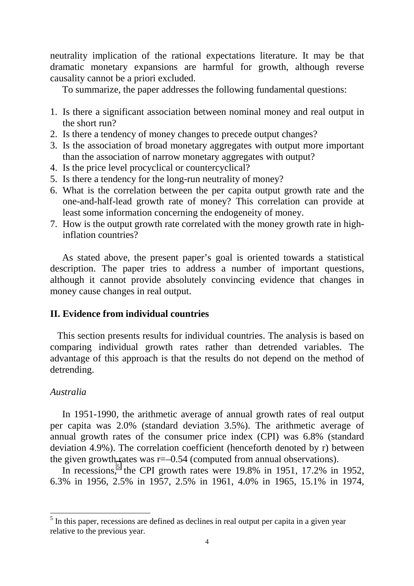neutrality implication of the rational expectations literature. It may be that dramatic monetary expansions are harmful for growth, although reverse causality cannot be a priori excluded.

To summarize, the paper addresses the following fundamental questions:

- 1. Is there a significant association between nominal money and real output in the short run?
- 2. Is there a tendency of money changes to precede output changes?
- 3. Is the association of broad monetary aggregates with output more important than the association of narrow monetary aggregates with output?
- 4. Is the price level procyclical or countercyclical?
- 5. Is there a tendency for the long-run neutrality of money?
- 6. What is the correlation between the per capita output growth rate and the one-and-half-lead growth rate of money? This correlation can provide at least some information concerning the endogeneity of money.
- 7. How is the output growth rate correlated with the money growth rate in highinflation countries?

 As stated above, the present paper's goal is oriented towards a statistical description. The paper tries to address a number of important questions, although it cannot provide absolutely convincing evidence that changes in money cause changes in real output.

## **II. Evidence from individual countries**

 This section presents results for individual countries. The analysis is based on comparing individual growth rates rather than detrended variables. The advantage of this approach is that the results do not depend on the method of detrending.

## *Australia*

 In 1951-1990, the arithmetic average of annual growth rates of real output per capita was 2.0% (standard deviation 3.5%). The arithmetic average of annual growth rates of the consumer price index (CPI) was 6.8% (standard deviation 4.9%). The correlation coefficient (henceforth denoted by r) between the given growth rates was r=–0.54 (computed from annual observations).

In recessions,<sup>5</sup> the CPI growth rates were 19.8% in 1951, 17.2% in 1952, 6.3% in 1956, 2.5% in 1957, 2.5% in 1961, 4.0% in 1965, 15.1% in 1974,

<sup>&</sup>lt;sup>5</sup> In this paper, recessions are defined as declines in real output per capita in a given year relative to the previous year.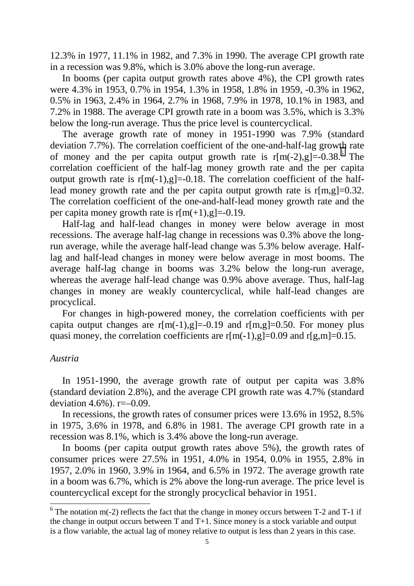12.3% in 1977, 11.1% in 1982, and 7.3% in 1990. The average CPI growth rate in a recession was 9.8%, which is 3.0% above the long-run average.

 In booms (per capita output growth rates above 4%), the CPI growth rates were 4.3% in 1953, 0.7% in 1954, 1.3% in 1958, 1.8% in 1959, -0.3% in 1962, 0.5% in 1963, 2.4% in 1964, 2.7% in 1968, 7.9% in 1978, 10.1% in 1983, and 7.2% in 1988. The average CPI growth rate in a boom was 3.5%, which is 3.3% below the long-run average. Thus the price level is countercyclical.

 The average growth rate of money in 1951-1990 was 7.9% (standard deviation 7.7%). The correlation coefficient of the one-and-half-lag growth rate of money and the per capita output growth rate is  $r[m(-2), g] = 0.38$ .<sup>6</sup> The correlation coefficient of the half-lag money growth rate and the per capita output growth rate is  $r[m(-1),g]=0.18$ . The correlation coefficient of the halflead money growth rate and the per capita output growth rate is  $r[m,g]=0.32$ . The correlation coefficient of the one-and-half-lead money growth rate and the per capita money growth rate is  $r[m(+1),g]=-0.19$ .

 Half-lag and half-lead changes in money were below average in most recessions. The average half-lag change in recessions was 0.3% above the longrun average, while the average half-lead change was 5.3% below average. Halflag and half-lead changes in money were below average in most booms. The average half-lag change in booms was 3.2% below the long-run average, whereas the average half-lead change was 0.9% above average. Thus, half-lag changes in money are weakly countercyclical, while half-lead changes are procyclical.

 For changes in high-powered money, the correlation coefficients with per capita output changes are  $r[m(-1),g]=-0.19$  and  $r[m,g]=0.50$ . For money plus quasi money, the correlation coefficients are  $r[m(-1),g]=0.09$  and  $r[g,m]=0.15$ .

## *Austria*

 $\overline{a}$ 

 In 1951-1990, the average growth rate of output per capita was 3.8% (standard deviation 2.8%), and the average CPI growth rate was 4.7% (standard deviation 4.6%).  $r=-0.09$ .

 In recessions, the growth rates of consumer prices were 13.6% in 1952, 8.5% in 1975, 3.6% in 1978, and 6.8% in 1981. The average CPI growth rate in a recession was 8.1%, which is 3.4% above the long-run average.

 In booms (per capita output growth rates above 5%), the growth rates of consumer prices were 27.5% in 1951, 4.0% in 1954, 0.0% in 1955, 2.8% in 1957, 2.0% in 1960, 3.9% in 1964, and 6.5% in 1972. The average growth rate in a boom was 6.7%, which is 2% above the long-run average. The price level is countercyclical except for the strongly procyclical behavior in 1951.

 $6$  The notation m(-2) reflects the fact that the change in money occurs between T-2 and T-1 if the change in output occurs between T and T+1. Since money is a stock variable and output is a flow variable, the actual lag of money relative to output is less than 2 years in this case.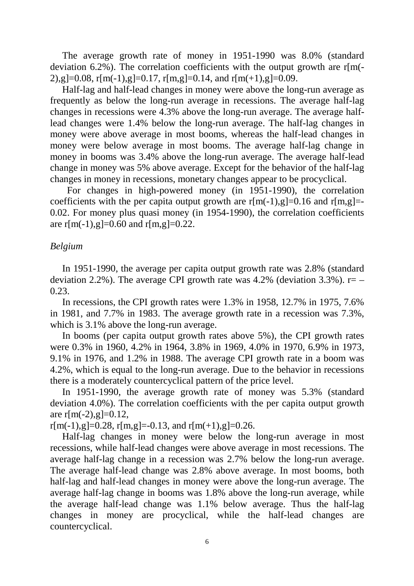The average growth rate of money in 1951-1990 was 8.0% (standard deviation 6.2%). The correlation coefficients with the output growth are  $r[m]$ -2),g $]=0.08$ , r[m(-1),g $]=0.17$ , r[m,g $]=0.14$ , and r[m(+1),g $]=0.09$ .

 Half-lag and half-lead changes in money were above the long-run average as frequently as below the long-run average in recessions. The average half-lag changes in recessions were 4.3% above the long-run average. The average halflead changes were 1.4% below the long-run average. The half-lag changes in money were above average in most booms, whereas the half-lead changes in money were below average in most booms. The average half-lag change in money in booms was 3.4% above the long-run average. The average half-lead change in money was 5% above average. Except for the behavior of the half-lag changes in money in recessions, monetary changes appear to be procyclical.

 For changes in high-powered money (in 1951-1990), the correlation coefficients with the per capita output growth are  $r[m(-1),g]=0.16$  and  $r[m,g]=$ 0.02. For money plus quasi money (in 1954-1990), the correlation coefficients are  $r[m(-1), g]=0.60$  and  $r[m,g]=0.22$ .

#### *Belgium*

 In 1951-1990, the average per capita output growth rate was 2.8% (standard deviation 2.2%). The average CPI growth rate was 4.2% (deviation 3.3%).  $r=-$ 0.23.

 In recessions, the CPI growth rates were 1.3% in 1958, 12.7% in 1975, 7.6% in 1981, and 7.7% in 1983. The average growth rate in a recession was 7.3%, which is 3.1% above the long-run average.

 In booms (per capita output growth rates above 5%), the CPI growth rates were 0.3% in 1960, 4.2% in 1964, 3.8% in 1969, 4.0% in 1970, 6.9% in 1973, 9.1% in 1976, and 1.2% in 1988. The average CPI growth rate in a boom was 4.2%, which is equal to the long-run average. Due to the behavior in recessions there is a moderately countercyclical pattern of the price level.

 In 1951-1990, the average growth rate of money was 5.3% (standard deviation 4.0%). The correlation coefficients with the per capita output growth are  $r[m(-2), g]=0.12$ ,

 $r[m(-1),g]=0.28, r[m,g]=0.13,$  and  $r[m(+1),g]=0.26$ .

 Half-lag changes in money were below the long-run average in most recessions, while half-lead changes were above average in most recessions. The average half-lag change in a recession was 2.7% below the long-run average. The average half-lead change was 2.8% above average. In most booms, both half-lag and half-lead changes in money were above the long-run average. The average half-lag change in booms was 1.8% above the long-run average, while the average half-lead change was 1.1% below average. Thus the half-lag changes in money are procyclical, while the half-lead changes are countercyclical.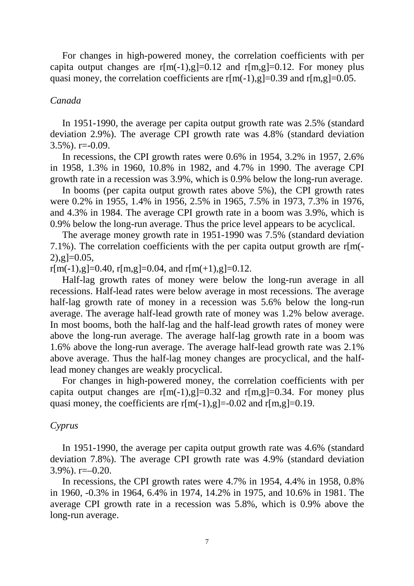For changes in high-powered money, the correlation coefficients with per capita output changes are  $r[m(-1),g]=0.12$  and  $r[m,g]=0.12$ . For money plus quasi money, the correlation coefficients are  $r[m(-1),g]=0.39$  and  $r[m,g]=0.05$ .

#### *Canada*

 In 1951-1990, the average per capita output growth rate was 2.5% (standard deviation 2.9%). The average CPI growth rate was 4.8% (standard deviation 3.5%). r=-0.09.

 In recessions, the CPI growth rates were 0.6% in 1954, 3.2% in 1957, 2.6% in 1958, 1.3% in 1960, 10.8% in 1982, and 4.7% in 1990. The average CPI growth rate in a recession was 3.9%, which is 0.9% below the long-run average.

 In booms (per capita output growth rates above 5%), the CPI growth rates were 0.2% in 1955, 1.4% in 1956, 2.5% in 1965, 7.5% in 1973, 7.3% in 1976, and 4.3% in 1984. The average CPI growth rate in a boom was 3.9%, which is 0.9% below the long-run average. Thus the price level appears to be acyclical.

 The average money growth rate in 1951-1990 was 7.5% (standard deviation 7.1%). The correlation coefficients with the per capita output growth are r[m(-  $2)$ ,g $=0.05$ ,

 $r[m(-1), g]=0.40$ ,  $r[m,g]=0.04$ , and  $r[m(+1), g]=0.12$ .

 Half-lag growth rates of money were below the long-run average in all recessions. Half-lead rates were below average in most recessions. The average half-lag growth rate of money in a recession was 5.6% below the long-run average. The average half-lead growth rate of money was 1.2% below average. In most booms, both the half-lag and the half-lead growth rates of money were above the long-run average. The average half-lag growth rate in a boom was 1.6% above the long-run average. The average half-lead growth rate was 2.1% above average. Thus the half-lag money changes are procyclical, and the halflead money changes are weakly procyclical.

 For changes in high-powered money, the correlation coefficients with per capita output changes are  $r[m(-1),g]=0.32$  and  $r[m,g]=0.34$ . For money plus quasi money, the coefficients are  $r[m(-1),g]=-0.02$  and  $r[m,g]=0.19$ .

### *Cyprus*

 In 1951-1990, the average per capita output growth rate was 4.6% (standard deviation 7.8%). The average CPI growth rate was 4.9% (standard deviation  $3.9\%$ ). r= $-0.20$ .

 In recessions, the CPI growth rates were 4.7% in 1954, 4.4% in 1958, 0.8% in 1960, -0.3% in 1964, 6.4% in 1974, 14.2% in 1975, and 10.6% in 1981. The average CPI growth rate in a recession was 5.8%, which is 0.9% above the long-run average.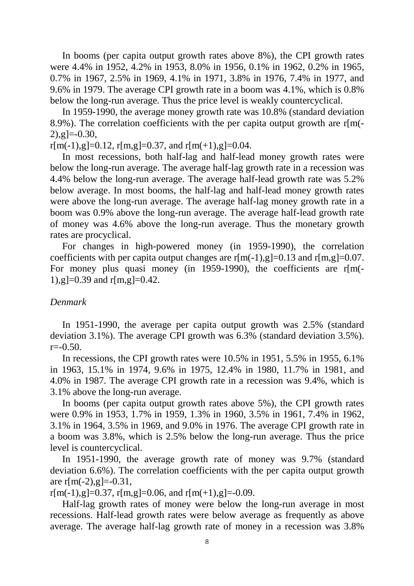In booms (per capita output growth rates above 8%), the CPI growth rates were 4.4% in 1952, 4.2% in 1953, 8.0% in 1956, 0.1% in 1962, 0.2% in 1965, 0.7% in 1967, 2.5% in 1969, 4.1% in 1971, 3.8% in 1976, 7.4% in 1977, and 9.6% in 1979. The average CPI growth rate in a boom was 4.1%, which is 0.8% below the long-run average. Thus the price level is weakly countercyclical.

 In 1959-1990, the average money growth rate was 10.8% (standard deviation 8.9%). The correlation coefficients with the per capita output growth are  $r[m(-)]$  $2)$ ,g]=-0.30,

 $r[m(-1),g]=0.12$ ,  $r[m,g]=0.37$ , and  $r[m(+1),g]=0.04$ .

 In most recessions, both half-lag and half-lead money growth rates were below the long-run average. The average half-lag growth rate in a recession was 4.4% below the long-run average. The average half-lead growth rate was 5.2% below average. In most booms, the half-lag and half-lead money growth rates were above the long-run average. The average half-lag money growth rate in a boom was 0.9% above the long-run average. The average half-lead growth rate of money was 4.6% above the long-run average. Thus the monetary growth rates are procyclical.

 For changes in high-powered money (in 1959-1990), the correlation coefficients with per capita output changes are  $r[m(-1),g]=0.13$  and  $r[m,g]=0.07$ . For money plus quasi money (in 1959-1990), the coefficients are r[m(-1),g $]=0.39$  and r[m,g $]=0.42$ .

## *Denmark*

 In 1951-1990, the average per capita output growth was 2.5% (standard deviation 3.1%). The average CPI growth was 6.3% (standard deviation 3.5%).  $r = -0.50$ .

 In recessions, the CPI growth rates were 10.5% in 1951, 5.5% in 1955, 6.1% in 1963, 15.1% in 1974, 9.6% in 1975, 12.4% in 1980, 11.7% in 1981, and 4.0% in 1987. The average CPI growth rate in a recession was 9.4%, which is 3.1% above the long-run average.

 In booms (per capita output growth rates above 5%), the CPI growth rates were 0.9% in 1953, 1.7% in 1959, 1.3% in 1960, 3.5% in 1961, 7.4% in 1962, 3.1% in 1964, 3.5% in 1969, and 9.0% in 1976. The average CPI growth rate in a boom was 3.8%, which is 2.5% below the long-run average. Thus the price level is countercyclical.

 In 1951-1990, the average growth rate of money was 9.7% (standard deviation 6.6%). The correlation coefficients with the per capita output growth are  $r[m(-2), g]=-0.31$ ,

 $r[m(-1), g]=0.37$ ,  $r[m,g]=0.06$ , and  $r[m(+1), g]=-0.09$ .

 Half-lag growth rates of money were below the long-run average in most recessions. Half-lead growth rates were below average as frequently as above average. The average half-lag growth rate of money in a recession was 3.8%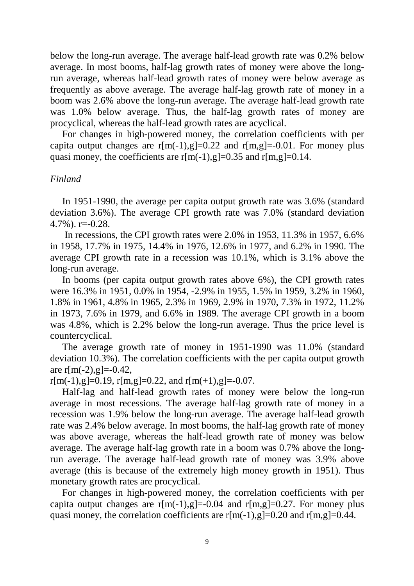below the long-run average. The average half-lead growth rate was 0.2% below average. In most booms, half-lag growth rates of money were above the longrun average, whereas half-lead growth rates of money were below average as frequently as above average. The average half-lag growth rate of money in a boom was 2.6% above the long-run average. The average half-lead growth rate was 1.0% below average. Thus, the half-lag growth rates of money are procyclical, whereas the half-lead growth rates are acyclical.

 For changes in high-powered money, the correlation coefficients with per capita output changes are  $r[m(-1),g]=0.22$  and  $r[m,g]=0.01$ . For money plus quasi money, the coefficients are  $r[m(-1),g]=0.35$  and  $r[m,g]=0.14$ .

#### *Finland*

 In 1951-1990, the average per capita output growth rate was 3.6% (standard deviation 3.6%). The average CPI growth rate was 7.0% (standard deviation 4.7%). r=-0.28.

 In recessions, the CPI growth rates were 2.0% in 1953, 11.3% in 1957, 6.6% in 1958, 17.7% in 1975, 14.4% in 1976, 12.6% in 1977, and 6.2% in 1990. The average CPI growth rate in a recession was 10.1%, which is 3.1% above the long-run average.

 In booms (per capita output growth rates above 6%), the CPI growth rates were 16.3% in 1951, 0.0% in 1954, -2.9% in 1955, 1.5% in 1959, 3.2% in 1960, 1.8% in 1961, 4.8% in 1965, 2.3% in 1969, 2.9% in 1970, 7.3% in 1972, 11.2% in 1973, 7.6% in 1979, and 6.6% in 1989. The average CPI growth in a boom was 4.8%, which is 2.2% below the long-run average. Thus the price level is countercyclical.

 The average growth rate of money in 1951-1990 was 11.0% (standard deviation 10.3%). The correlation coefficients with the per capita output growth are  $r[m(-2), g]=-0.42$ ,

 $r[m(-1),g]=0.19, r[m,g]=0.22,$  and  $r[m(+1),g]=0.07$ .

 Half-lag and half-lead growth rates of money were below the long-run average in most recessions. The average half-lag growth rate of money in a recession was 1.9% below the long-run average. The average half-lead growth rate was 2.4% below average. In most booms, the half-lag growth rate of money was above average, whereas the half-lead growth rate of money was below average. The average half-lag growth rate in a boom was 0.7% above the longrun average. The average half-lead growth rate of money was 3.9% above average (this is because of the extremely high money growth in 1951). Thus monetary growth rates are procyclical.

 For changes in high-powered money, the correlation coefficients with per capita output changes are  $r[m(-1),g]=-0.04$  and  $r[m,g]=0.27$ . For money plus quasi money, the correlation coefficients are  $r[m(-1),g]=0.20$  and  $r[m,g]=0.44$ .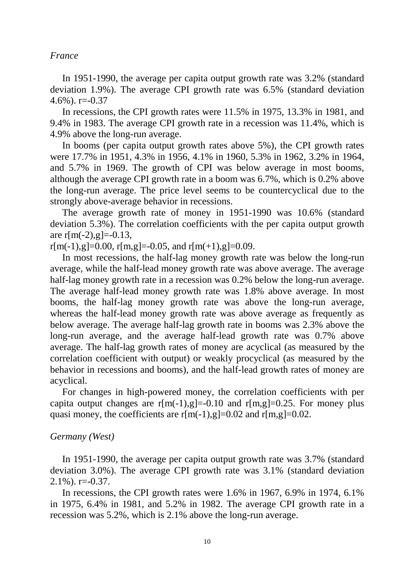#### *France*

 In 1951-1990, the average per capita output growth rate was 3.2% (standard deviation 1.9%). The average CPI growth rate was 6.5% (standard deviation  $4.6\%$ ). r= $-0.37$ 

 In recessions, the CPI growth rates were 11.5% in 1975, 13.3% in 1981, and 9.4% in 1983. The average CPI growth rate in a recession was 11.4%, which is 4.9% above the long-run average.

 In booms (per capita output growth rates above 5%), the CPI growth rates were 17.7% in 1951, 4.3% in 1956, 4.1% in 1960, 5.3% in 1962, 3.2% in 1964, and 5.7% in 1969. The growth of CPI was below average in most booms, although the average CPI growth rate in a boom was 6.7%, which is 0.2% above the long-run average. The price level seems to be countercyclical due to the strongly above-average behavior in recessions.

 The average growth rate of money in 1951-1990 was 10.6% (standard deviation 5.3%). The correlation coefficients with the per capita output growth are  $r[m(-2), g]=-0.13$ ,

 $r[m(-1), g]=0.00$ ,  $r[m,g]=0.05$ , and  $r[m(+1), g]=0.09$ .

 In most recessions, the half-lag money growth rate was below the long-run average, while the half-lead money growth rate was above average. The average half-lag money growth rate in a recession was 0.2% below the long-run average. The average half-lead money growth rate was 1.8% above average. In most booms, the half-lag money growth rate was above the long-run average, whereas the half-lead money growth rate was above average as frequently as below average. The average half-lag growth rate in booms was 2.3% above the long-run average, and the average half-lead growth rate was 0.7% above average. The half-lag growth rates of money are acyclical (as measured by the correlation coefficient with output) or weakly procyclical (as measured by the behavior in recessions and booms), and the half-lead growth rates of money are acyclical.

 For changes in high-powered money, the correlation coefficients with per capita output changes are  $r[m(-1),g]=-0.10$  and  $r[m,g]=0.25$ . For money plus quasi money, the coefficients are  $r[m(-1),g]=0.02$  and  $r[m,g]=0.02$ .

## *Germany (West)*

 In 1951-1990, the average per capita output growth rate was 3.7% (standard deviation 3.0%). The average CPI growth rate was 3.1% (standard deviation  $2.1\%$ ). r= $-0.37$ .

In recessions, the CPI growth rates were 1.6% in 1967, 6.9% in 1974, 6.1% in 1975, 6.4% in 1981, and 5.2% in 1982. The average CPI growth rate in a recession was 5.2%, which is 2.1% above the long-run average.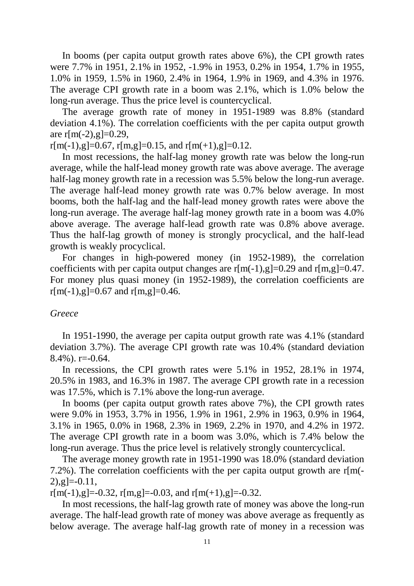In booms (per capita output growth rates above 6%), the CPI growth rates were 7.7% in 1951, 2.1% in 1952, -1.9% in 1953, 0.2% in 1954, 1.7% in 1955, 1.0% in 1959, 1.5% in 1960, 2.4% in 1964, 1.9% in 1969, and 4.3% in 1976. The average CPI growth rate in a boom was 2.1%, which is 1.0% below the long-run average. Thus the price level is countercyclical.

 The average growth rate of money in 1951-1989 was 8.8% (standard deviation 4.1%). The correlation coefficients with the per capita output growth are  $r[m(-2), g]=0.29$ ,

 $r[m(-1),g]=0.67$ ,  $r[m,g]=0.15$ , and  $r[m(+1),g]=0.12$ .

 In most recessions, the half-lag money growth rate was below the long-run average, while the half-lead money growth rate was above average. The average half-lag money growth rate in a recession was 5.5% below the long-run average. The average half-lead money growth rate was 0.7% below average. In most booms, both the half-lag and the half-lead money growth rates were above the long-run average. The average half-lag money growth rate in a boom was 4.0% above average. The average half-lead growth rate was 0.8% above average. Thus the half-lag growth of money is strongly procyclical, and the half-lead growth is weakly procyclical.

 For changes in high-powered money (in 1952-1989), the correlation coefficients with per capita output changes are  $r[m(-1),g]=0.29$  and  $r[m,g]=0.47$ . For money plus quasi money (in 1952-1989), the correlation coefficients are  $r[m(-1), g]=0.67$  and  $r[m,g]=0.46$ .

## *Greece*

 In 1951-1990, the average per capita output growth rate was 4.1% (standard deviation 3.7%). The average CPI growth rate was 10.4% (standard deviation  $8.4\%$ ). r= $-0.64$ .

 In recessions, the CPI growth rates were 5.1% in 1952, 28.1% in 1974, 20.5% in 1983, and 16.3% in 1987. The average CPI growth rate in a recession was 17.5%, which is 7.1% above the long-run average.

 In booms (per capita output growth rates above 7%), the CPI growth rates were 9.0% in 1953, 3.7% in 1956, 1.9% in 1961, 2.9% in 1963, 0.9% in 1964, 3.1% in 1965, 0.0% in 1968, 2.3% in 1969, 2.2% in 1970, and 4.2% in 1972. The average CPI growth rate in a boom was 3.0%, which is 7.4% below the long-run average. Thus the price level is relatively strongly countercyclical.

 The average money growth rate in 1951-1990 was 18.0% (standard deviation 7.2%). The correlation coefficients with the per capita output growth are r[m(-  $[2), [g]=0.11,$ 

 $r[m(-1), g]=-0.32$ ,  $r[m,g]=-0.03$ , and  $r[m(+1), g]=-0.32$ .

 In most recessions, the half-lag growth rate of money was above the long-run average. The half-lead growth rate of money was above average as frequently as below average. The average half-lag growth rate of money in a recession was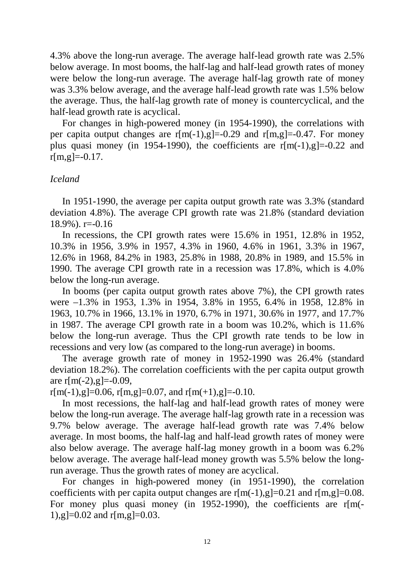4.3% above the long-run average. The average half-lead growth rate was 2.5% below average. In most booms, the half-lag and half-lead growth rates of money were below the long-run average. The average half-lag growth rate of money was 3.3% below average, and the average half-lead growth rate was 1.5% below the average. Thus, the half-lag growth rate of money is countercyclical, and the half-lead growth rate is acyclical.

 For changes in high-powered money (in 1954-1990), the correlations with per capita output changes are  $r[m(-1),g]=-0.29$  and  $r[m,g]=-0.47$ . For money plus quasi money (in 1954-1990), the coefficients are  $r[m(-1),g]=-0.22$  and  $r[m,g]=0.17$ .

### *Iceland*

 In 1951-1990, the average per capita output growth rate was 3.3% (standard deviation 4.8%). The average CPI growth rate was 21.8% (standard deviation 18.9%). r=-0.16

 In recessions, the CPI growth rates were 15.6% in 1951, 12.8% in 1952, 10.3% in 1956, 3.9% in 1957, 4.3% in 1960, 4.6% in 1961, 3.3% in 1967, 12.6% in 1968, 84.2% in 1983, 25.8% in 1988, 20.8% in 1989, and 15.5% in 1990. The average CPI growth rate in a recession was 17.8%, which is 4.0% below the long-run average.

 In booms (per capita output growth rates above 7%), the CPI growth rates were –1.3% in 1953, 1.3% in 1954, 3.8% in 1955, 6.4% in 1958, 12.8% in 1963, 10.7% in 1966, 13.1% in 1970, 6.7% in 1971, 30.6% in 1977, and 17.7% in 1987. The average CPI growth rate in a boom was 10.2%, which is 11.6% below the long-run average. Thus the CPI growth rate tends to be low in recessions and very low (as compared to the long-run average) in booms.

 The average growth rate of money in 1952-1990 was 26.4% (standard deviation 18.2%). The correlation coefficients with the per capita output growth are  $r[m(-2), g]=-0.09$ ,

 $r[m(-1), g]=0.06$ ,  $r[m,g]=0.07$ , and  $r[m(+1), g]=-0.10$ .

 In most recessions, the half-lag and half-lead growth rates of money were below the long-run average. The average half-lag growth rate in a recession was 9.7% below average. The average half-lead growth rate was 7.4% below average. In most booms, the half-lag and half-lead growth rates of money were also below average. The average half-lag money growth in a boom was 6.2% below average. The average half-lead money growth was 5.5% below the longrun average. Thus the growth rates of money are acyclical.

 For changes in high-powered money (in 1951-1990), the correlation coefficients with per capita output changes are  $r[m(-1),g]=0.21$  and  $r[m,g]=0.08$ . For money plus quasi money (in 1952-1990), the coefficients are r[m(-1),g $]=0.02$  and r[m,g $]=0.03$ .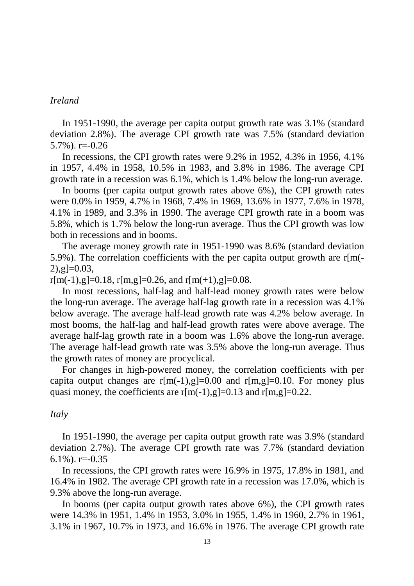#### *Ireland*

 In 1951-1990, the average per capita output growth rate was 3.1% (standard deviation 2.8%). The average CPI growth rate was 7.5% (standard deviation 5.7%). r=-0.26

 In recessions, the CPI growth rates were 9.2% in 1952, 4.3% in 1956, 4.1% in 1957, 4.4% in 1958, 10.5% in 1983, and 3.8% in 1986. The average CPI growth rate in a recession was 6.1%, which is 1.4% below the long-run average.

 In booms (per capita output growth rates above 6%), the CPI growth rates were 0.0% in 1959, 4.7% in 1968, 7.4% in 1969, 13.6% in 1977, 7.6% in 1978, 4.1% in 1989, and 3.3% in 1990. The average CPI growth rate in a boom was 5.8%, which is 1.7% below the long-run average. Thus the CPI growth was low both in recessions and in booms.

 The average money growth rate in 1951-1990 was 8.6% (standard deviation 5.9%). The correlation coefficients with the per capita output growth are r[m(-  $2)$ , g  $= 0.03$ ,

 $r[m(-1), g]=0.18$ ,  $r[m,g]=0.26$ , and  $r[m(+1), g]=0.08$ .

 In most recessions, half-lag and half-lead money growth rates were below the long-run average. The average half-lag growth rate in a recession was 4.1% below average. The average half-lead growth rate was 4.2% below average. In most booms, the half-lag and half-lead growth rates were above average. The average half-lag growth rate in a boom was 1.6% above the long-run average. The average half-lead growth rate was 3.5% above the long-run average. Thus the growth rates of money are procyclical.

 For changes in high-powered money, the correlation coefficients with per capita output changes are  $r[m(-1),g]=0.00$  and  $r[m,g]=0.10$ . For money plus quasi money, the coefficients are  $r[m(-1),g]=0.13$  and  $r[m,g]=0.22$ .

#### *Italy*

 In 1951-1990, the average per capita output growth rate was 3.9% (standard deviation 2.7%). The average CPI growth rate was 7.7% (standard deviation 6.1%).  $r = -0.35$ 

 In recessions, the CPI growth rates were 16.9% in 1975, 17.8% in 1981, and 16.4% in 1982. The average CPI growth rate in a recession was 17.0%, which is 9.3% above the long-run average.

 In booms (per capita output growth rates above 6%), the CPI growth rates were 14.3% in 1951, 1.4% in 1953, 3.0% in 1955, 1.4% in 1960, 2.7% in 1961, 3.1% in 1967, 10.7% in 1973, and 16.6% in 1976. The average CPI growth rate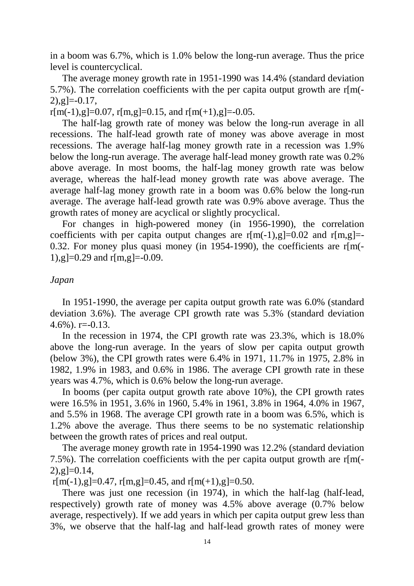in a boom was 6.7%, which is 1.0% below the long-run average. Thus the price level is countercyclical.

 The average money growth rate in 1951-1990 was 14.4% (standard deviation 5.7%). The correlation coefficients with the per capita output growth are  $r[m]$ - $2)$ ,g]=-0.17,

 $r[m(-1), g]=0.07$ ,  $r[m,g]=0.15$ , and  $r[m(+1), g]=-0.05$ .

 The half-lag growth rate of money was below the long-run average in all recessions. The half-lead growth rate of money was above average in most recessions. The average half-lag money growth rate in a recession was 1.9% below the long-run average. The average half-lead money growth rate was 0.2% above average. In most booms, the half-lag money growth rate was below average, whereas the half-lead money growth rate was above average. The average half-lag money growth rate in a boom was 0.6% below the long-run average. The average half-lead growth rate was 0.9% above average. Thus the growth rates of money are acyclical or slightly procyclical.

 For changes in high-powered money (in 1956-1990), the correlation coefficients with per capita output changes are  $r[m(-1),g]=0.02$  and  $r[m,g]=$ 0.32. For money plus quasi money (in 1954-1990), the coefficients are r[m(- 1),g $]=0.29$  and r[m,g $]=-0.09$ .

## *Japan*

 In 1951-1990, the average per capita output growth rate was 6.0% (standard deviation 3.6%). The average CPI growth rate was 5.3% (standard deviation  $4.6\%$ ). r= $-0.13$ .

 In the recession in 1974, the CPI growth rate was 23.3%, which is 18.0% above the long-run average. In the years of slow per capita output growth (below 3%), the CPI growth rates were 6.4% in 1971, 11.7% in 1975, 2.8% in 1982, 1.9% in 1983, and 0.6% in 1986. The average CPI growth rate in these years was 4.7%, which is 0.6% below the long-run average.

 In booms (per capita output growth rate above 10%), the CPI growth rates were 16.5% in 1951, 3.6% in 1960, 5.4% in 1961, 3.8% in 1964, 4.0% in 1967, and 5.5% in 1968. The average CPI growth rate in a boom was 6.5%, which is 1.2% above the average. Thus there seems to be no systematic relationship between the growth rates of prices and real output.

 The average money growth rate in 1954-1990 was 12.2% (standard deviation 7.5%). The correlation coefficients with the per capita output growth are r[m(-  $2)$ ,g $]=0.14$ ,

 $r[m(-1), g]=0.47$ ,  $r[m,g]=0.45$ , and  $r[m(+1), g]=0.50$ .

 There was just one recession (in 1974), in which the half-lag (half-lead, respectively) growth rate of money was 4.5% above average (0.7% below average, respectively). If we add years in which per capita output grew less than 3%, we observe that the half-lag and half-lead growth rates of money were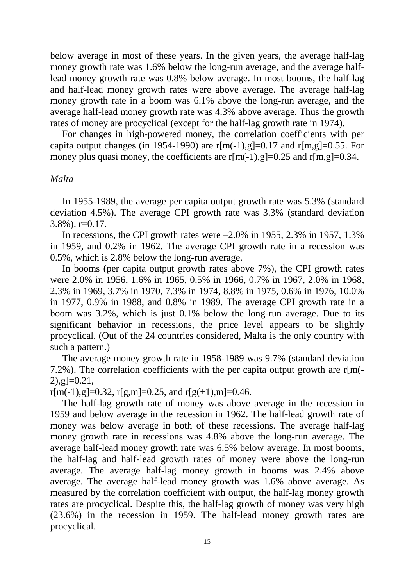below average in most of these years. In the given years, the average half-lag money growth rate was 1.6% below the long-run average, and the average halflead money growth rate was 0.8% below average. In most booms, the half-lag and half-lead money growth rates were above average. The average half-lag money growth rate in a boom was 6.1% above the long-run average, and the average half-lead money growth rate was 4.3% above average. Thus the growth rates of money are procyclical (except for the half-lag growth rate in 1974).

 For changes in high-powered money, the correlation coefficients with per capita output changes (in 1954-1990) are  $r[m(-1),g]=0.17$  and  $r[m,g]=0.55$ . For money plus quasi money, the coefficients are  $r[m(-1),g]=0.25$  and  $r[m,g]=0.34$ .

### *Malta*

 In 1955-1989, the average per capita output growth rate was 5.3% (standard deviation 4.5%). The average CPI growth rate was 3.3% (standard deviation 3.8%). r=0.17.

In recessions, the CPI growth rates were  $-2.0\%$  in 1955, 2.3% in 1957, 1.3% in 1959, and 0.2% in 1962. The average CPI growth rate in a recession was 0.5%, which is 2.8% below the long-run average.

 In booms (per capita output growth rates above 7%), the CPI growth rates were 2.0% in 1956, 1.6% in 1965, 0.5% in 1966, 0.7% in 1967, 2.0% in 1968, 2.3% in 1969, 3.7% in 1970, 7.3% in 1974, 8.8% in 1975, 0.6% in 1976, 10.0% in 1977, 0.9% in 1988, and 0.8% in 1989. The average CPI growth rate in a boom was 3.2%, which is just 0.1% below the long-run average. Due to its significant behavior in recessions, the price level appears to be slightly procyclical. (Out of the 24 countries considered, Malta is the only country with such a pattern.)

 The average money growth rate in 1958-1989 was 9.7% (standard deviation 7.2%). The correlation coefficients with the per capita output growth are  $r[m(-)]$  $2)$ ,g $=0.21$ ,

 $r[m(-1),g]=0.32$ ,  $r[g,m]=0.25$ , and  $r[g(+1),m]=0.46$ .

 The half-lag growth rate of money was above average in the recession in 1959 and below average in the recession in 1962. The half-lead growth rate of money was below average in both of these recessions. The average half-lag money growth rate in recessions was 4.8% above the long-run average. The average half-lead money growth rate was 6.5% below average. In most booms, the half-lag and half-lead growth rates of money were above the long-run average. The average half-lag money growth in booms was 2.4% above average. The average half-lead money growth was 1.6% above average. As measured by the correlation coefficient with output, the half-lag money growth rates are procyclical. Despite this, the half-lag growth of money was very high (23.6%) in the recession in 1959. The half-lead money growth rates are procyclical.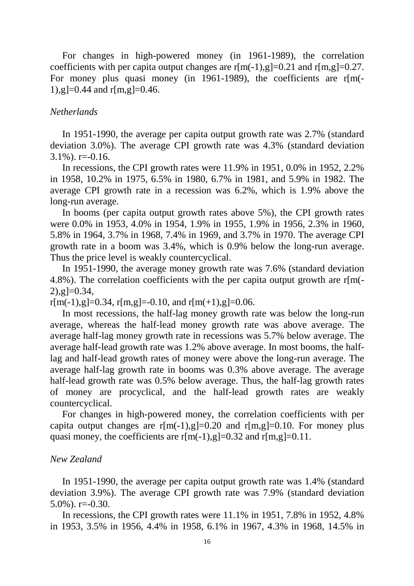For changes in high-powered money (in 1961-1989), the correlation coefficients with per capita output changes are  $r[m(-1),g]=0.21$  and  $r[m,g]=0.27$ . For money plus quasi money (in 1961-1989), the coefficients are r[m(-1),  $g$  = 0.44 and r[m,  $g$ ] = 0.46.

### *Netherlands*

 In 1951-1990, the average per capita output growth rate was 2.7% (standard deviation 3.0%). The average CPI growth rate was 4.3% (standard deviation  $3.1\%$ ). r=-0.16.

 In recessions, the CPI growth rates were 11.9% in 1951, 0.0% in 1952, 2.2% in 1958, 10.2% in 1975, 6.5% in 1980, 6.7% in 1981, and 5.9% in 1982. The average CPI growth rate in a recession was 6.2%, which is 1.9% above the long-run average.

 In booms (per capita output growth rates above 5%), the CPI growth rates were 0.0% in 1953, 4.0% in 1954, 1.9% in 1955, 1.9% in 1956, 2.3% in 1960, 5.8% in 1964, 3.7% in 1968, 7.4% in 1969, and 3.7% in 1970. The average CPI growth rate in a boom was 3.4%, which is 0.9% below the long-run average. Thus the price level is weakly countercyclical.

 In 1951-1990, the average money growth rate was 7.6% (standard deviation 4.8%). The correlation coefficients with the per capita output growth are r[m(-  $2)$ ,  $g$ ]=0.34,

 $r[m(-1), g]=0.34$ ,  $r[m,g]=0.10$ , and  $r[m(+1), g]=0.06$ .

 In most recessions, the half-lag money growth rate was below the long-run average, whereas the half-lead money growth rate was above average. The average half-lag money growth rate in recessions was 5.7% below average. The average half-lead growth rate was 1.2% above average. In most booms, the halflag and half-lead growth rates of money were above the long-run average. The average half-lag growth rate in booms was 0.3% above average. The average half-lead growth rate was 0.5% below average. Thus, the half-lag growth rates of money are procyclical, and the half-lead growth rates are weakly countercyclical.

 For changes in high-powered money, the correlation coefficients with per capita output changes are  $r[m(-1),g]=0.20$  and  $r[m,g]=0.10$ . For money plus quasi money, the coefficients are  $r[m(-1),g]=0.32$  and  $r[m,g]=0.11$ .

#### *New Zealand*

 In 1951-1990, the average per capita output growth rate was 1.4% (standard deviation 3.9%). The average CPI growth rate was 7.9% (standard deviation  $5.0\%$ ). r= $-0.30$ .

 In recessions, the CPI growth rates were 11.1% in 1951, 7.8% in 1952, 4.8% in 1953, 3.5% in 1956, 4.4% in 1958, 6.1% in 1967, 4.3% in 1968, 14.5% in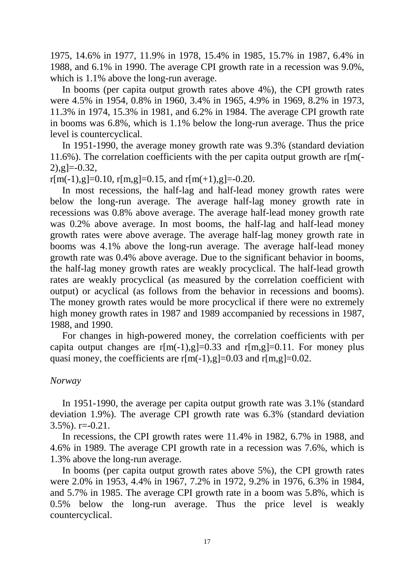1975, 14.6% in 1977, 11.9% in 1978, 15.4% in 1985, 15.7% in 1987, 6.4% in 1988, and 6.1% in 1990. The average CPI growth rate in a recession was 9.0%, which is 1.1% above the long-run average.

 In booms (per capita output growth rates above 4%), the CPI growth rates were 4.5% in 1954, 0.8% in 1960, 3.4% in 1965, 4.9% in 1969, 8.2% in 1973, 11.3% in 1974, 15.3% in 1981, and 6.2% in 1984. The average CPI growth rate in booms was 6.8%, which is 1.1% below the long-run average. Thus the price level is countercyclical.

 In 1951-1990, the average money growth rate was 9.3% (standard deviation 11.6%). The correlation coefficients with the per capita output growth are  $r[m]$ - $[2), \mathsf{g}$ ]=-0.32,

 $r[m(-1), g]=0.10$ ,  $r[m,g]=0.15$ , and  $r[m(+1), g]=-0.20$ .

 In most recessions, the half-lag and half-lead money growth rates were below the long-run average. The average half-lag money growth rate in recessions was 0.8% above average. The average half-lead money growth rate was 0.2% above average. In most booms, the half-lag and half-lead money growth rates were above average. The average half-lag money growth rate in booms was 4.1% above the long-run average. The average half-lead money growth rate was 0.4% above average. Due to the significant behavior in booms, the half-lag money growth rates are weakly procyclical. The half-lead growth rates are weakly procyclical (as measured by the correlation coefficient with output) or acyclical (as follows from the behavior in recessions and booms). The money growth rates would be more procyclical if there were no extremely high money growth rates in 1987 and 1989 accompanied by recessions in 1987, 1988, and 1990.

 For changes in high-powered money, the correlation coefficients with per capita output changes are  $r[m(-1),g]=0.33$  and  $r[m,g]=0.11$ . For money plus quasi money, the coefficients are  $r[m(-1),g]=0.03$  and  $r[m,g]=0.02$ .

## *Norway*

 In 1951-1990, the average per capita output growth rate was 3.1% (standard deviation 1.9%). The average CPI growth rate was 6.3% (standard deviation 3.5%). r=-0.21.

 In recessions, the CPI growth rates were 11.4% in 1982, 6.7% in 1988, and 4.6% in 1989. The average CPI growth rate in a recession was 7.6%, which is 1.3% above the long-run average.

 In booms (per capita output growth rates above 5%), the CPI growth rates were 2.0% in 1953, 4.4% in 1967, 7.2% in 1972, 9.2% in 1976, 6.3% in 1984, and 5.7% in 1985. The average CPI growth rate in a boom was 5.8%, which is 0.5% below the long-run average. Thus the price level is weakly countercyclical.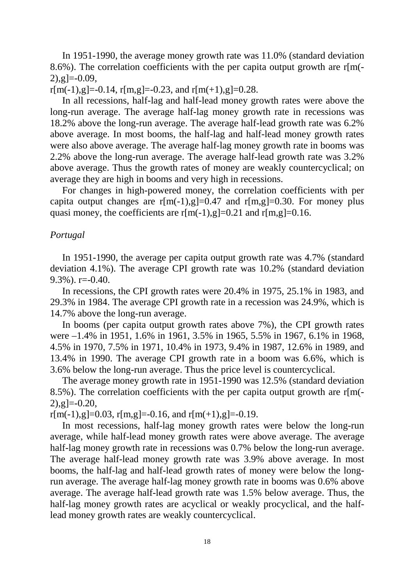In 1951-1990, the average money growth rate was 11.0% (standard deviation 8.6%). The correlation coefficients with the per capita output growth are  $r[m]$ - $[2), [2] = -0.09,$ 

 $r[m(-1), g]=-0.14$ ,  $r[m,g]=-0.23$ , and  $r[m(+1), g]=0.28$ .

 In all recessions, half-lag and half-lead money growth rates were above the long-run average. The average half-lag money growth rate in recessions was 18.2% above the long-run average. The average half-lead growth rate was 6.2% above average. In most booms, the half-lag and half-lead money growth rates were also above average. The average half-lag money growth rate in booms was 2.2% above the long-run average. The average half-lead growth rate was 3.2% above average. Thus the growth rates of money are weakly countercyclical; on average they are high in booms and very high in recessions.

 For changes in high-powered money, the correlation coefficients with per capita output changes are  $r[m(-1),g]=0.47$  and  $r[m,g]=0.30$ . For money plus quasi money, the coefficients are  $r[m(-1),g]=0.21$  and  $r[m,g]=0.16$ .

#### *Portugal*

 In 1951-1990, the average per capita output growth rate was 4.7% (standard deviation 4.1%). The average CPI growth rate was 10.2% (standard deviation  $9.3\%$ ). r= $-0.40$ .

 In recessions, the CPI growth rates were 20.4% in 1975, 25.1% in 1983, and 29.3% in 1984. The average CPI growth rate in a recession was 24.9%, which is 14.7% above the long-run average.

 In booms (per capita output growth rates above 7%), the CPI growth rates were –1.4% in 1951, 1.6% in 1961, 3.5% in 1965, 5.5% in 1967, 6.1% in 1968, 4.5% in 1970, 7.5% in 1971, 10.4% in 1973, 9.4% in 1987, 12.6% in 1989, and 13.4% in 1990. The average CPI growth rate in a boom was 6.6%, which is 3.6% below the long-run average. Thus the price level is countercyclical.

 The average money growth rate in 1951-1990 was 12.5% (standard deviation 8.5%). The correlation coefficients with the per capita output growth are r[m(-  $[2), [g]=0.20,$ 

 $r[m(-1), g]=0.03$ ,  $r[m,g]=0.16$ , and  $r[m(+1), g]=-0.19$ .

 In most recessions, half-lag money growth rates were below the long-run average, while half-lead money growth rates were above average. The average half-lag money growth rate in recessions was 0.7% below the long-run average. The average half-lead money growth rate was 3.9% above average. In most booms, the half-lag and half-lead growth rates of money were below the longrun average. The average half-lag money growth rate in booms was 0.6% above average. The average half-lead growth rate was 1.5% below average. Thus, the half-lag money growth rates are acyclical or weakly procyclical, and the halflead money growth rates are weakly countercyclical.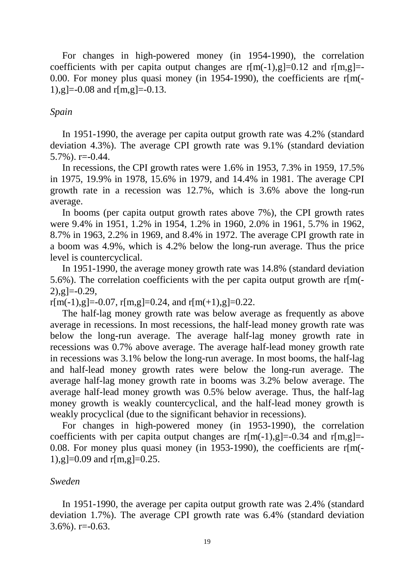For changes in high-powered money (in 1954-1990), the correlation coefficients with per capita output changes are  $r[m(-1),g]=0.12$  and  $r[m,g]=$ 0.00. For money plus quasi money (in 1954-1990), the coefficients are  $r[m]$ -1),g $=-0.08$  and r[m,g]=-0.13.

#### *Spain*

 In 1951-1990, the average per capita output growth rate was 4.2% (standard deviation 4.3%). The average CPI growth rate was 9.1% (standard deviation 5.7%). r=-0.44.

 In recessions, the CPI growth rates were 1.6% in 1953, 7.3% in 1959, 17.5% in 1975, 19.9% in 1978, 15.6% in 1979, and 14.4% in 1981. The average CPI growth rate in a recession was 12.7%, which is 3.6% above the long-run average.

 In booms (per capita output growth rates above 7%), the CPI growth rates were 9.4% in 1951, 1.2% in 1954, 1.2% in 1960, 2.0% in 1961, 5.7% in 1962, 8.7% in 1963, 2.2% in 1969, and 8.4% in 1972. The average CPI growth rate in a boom was 4.9%, which is 4.2% below the long-run average. Thus the price level is countercyclical.

 In 1951-1990, the average money growth rate was 14.8% (standard deviation 5.6%). The correlation coefficients with the per capita output growth are r[m(-  $[2), \mathsf{g}$ =-0.29,

 $r[m(-1), g]=-0.07$ ,  $r[m,g]=0.24$ , and  $r[m(+1), g]=0.22$ .

 The half-lag money growth rate was below average as frequently as above average in recessions. In most recessions, the half-lead money growth rate was below the long-run average. The average half-lag money growth rate in recessions was 0.7% above average. The average half-lead money growth rate in recessions was 3.1% below the long-run average. In most booms, the half-lag and half-lead money growth rates were below the long-run average. The average half-lag money growth rate in booms was 3.2% below average. The average half-lead money growth was 0.5% below average. Thus, the half-lag money growth is weakly countercyclical, and the half-lead money growth is weakly procyclical (due to the significant behavior in recessions).

 For changes in high-powered money (in 1953-1990), the correlation coefficients with per capita output changes are  $r[m(-1),g]=-0.34$  and  $r[m,g]=-$ 0.08. For money plus quasi money (in 1953-1990), the coefficients are r[m(- 1),g $]=0.09$  and r[m,g $]=0.25$ .

#### *Sweden*

 In 1951-1990, the average per capita output growth rate was 2.4% (standard deviation 1.7%). The average CPI growth rate was 6.4% (standard deviation  $3.6\%$ ). r= $-0.63$ .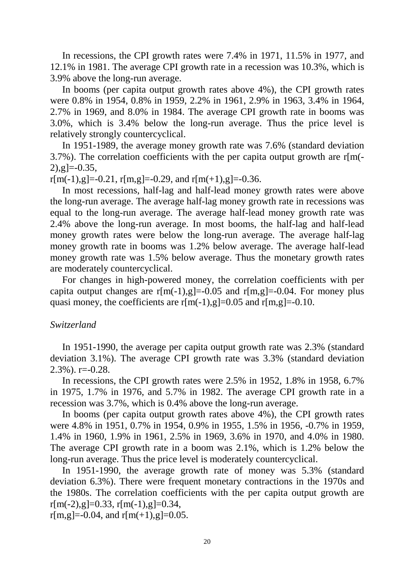In recessions, the CPI growth rates were 7.4% in 1971, 11.5% in 1977, and 12.1% in 1981. The average CPI growth rate in a recession was 10.3%, which is 3.9% above the long-run average.

 In booms (per capita output growth rates above 4%), the CPI growth rates were 0.8% in 1954, 0.8% in 1959, 2.2% in 1961, 2.9% in 1963, 3.4% in 1964, 2.7% in 1969, and 8.0% in 1984. The average CPI growth rate in booms was 3.0%, which is 3.4% below the long-run average. Thus the price level is relatively strongly countercyclical.

 In 1951-1989, the average money growth rate was 7.6% (standard deviation 3.7%). The correlation coefficients with the per capita output growth are r[m(-  $[2), \mathsf{g}$ ]=-0.35,

 $r[m(-1), g]=-0.21$ ,  $r[m,g]=-0.29$ , and  $r[m(+1), g]=-0.36$ .

 In most recessions, half-lag and half-lead money growth rates were above the long-run average. The average half-lag money growth rate in recessions was equal to the long-run average. The average half-lead money growth rate was 2.4% above the long-run average. In most booms, the half-lag and half-lead money growth rates were below the long-run average. The average half-lag money growth rate in booms was 1.2% below average. The average half-lead money growth rate was 1.5% below average. Thus the monetary growth rates are moderately countercyclical.

 For changes in high-powered money, the correlation coefficients with per capita output changes are  $r[m(-1), g]=0.05$  and  $r[m,g]=0.04$ . For money plus quasi money, the coefficients are  $r[m(-1),g]=0.05$  and  $r[m,g]=0.10$ .

## *Switzerland*

 In 1951-1990, the average per capita output growth rate was 2.3% (standard deviation 3.1%). The average CPI growth rate was 3.3% (standard deviation  $2.3\%$ ). r= $-0.28$ .

 In recessions, the CPI growth rates were 2.5% in 1952, 1.8% in 1958, 6.7% in 1975, 1.7% in 1976, and 5.7% in 1982. The average CPI growth rate in a recession was 3.7%, which is 0.4% above the long-run average.

 In booms (per capita output growth rates above 4%), the CPI growth rates were 4.8% in 1951, 0.7% in 1954, 0.9% in 1955, 1.5% in 1956, -0.7% in 1959, 1.4% in 1960, 1.9% in 1961, 2.5% in 1969, 3.6% in 1970, and 4.0% in 1980. The average CPI growth rate in a boom was 2.1%, which is 1.2% below the long-run average. Thus the price level is moderately countercyclical.

 In 1951-1990, the average growth rate of money was 5.3% (standard deviation 6.3%). There were frequent monetary contractions in the 1970s and the 1980s. The correlation coefficients with the per capita output growth are  $r[m(-2), g]=0.33, r[m(-1), g]=0.34,$ 

r[m,g]=-0.04, and  $r[m(+1), g]=0.05$ .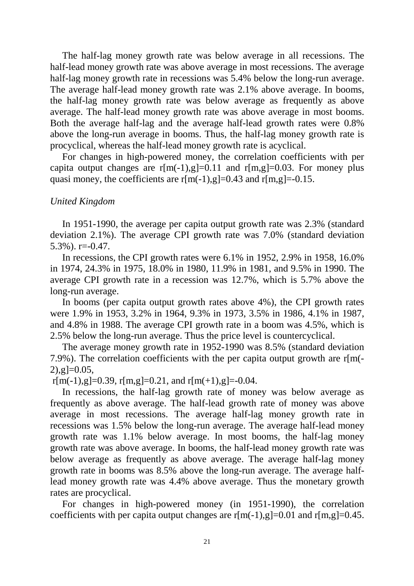The half-lag money growth rate was below average in all recessions. The half-lead money growth rate was above average in most recessions. The average half-lag money growth rate in recessions was 5.4% below the long-run average. The average half-lead money growth rate was 2.1% above average. In booms, the half-lag money growth rate was below average as frequently as above average. The half-lead money growth rate was above average in most booms. Both the average half-lag and the average half-lead growth rates were 0.8% above the long-run average in booms. Thus, the half-lag money growth rate is procyclical, whereas the half-lead money growth rate is acyclical.

 For changes in high-powered money, the correlation coefficients with per capita output changes are  $r[m(-1),g]=0.11$  and  $r[m,g]=0.03$ . For money plus quasi money, the coefficients are  $r[m(-1),g]=0.43$  and  $r[m,g]=0.15$ .

## *United Kingdom*

 In 1951-1990, the average per capita output growth rate was 2.3% (standard deviation 2.1%). The average CPI growth rate was 7.0% (standard deviation  $5.3\%$ ). r= $-0.47$ .

 In recessions, the CPI growth rates were 6.1% in 1952, 2.9% in 1958, 16.0% in 1974, 24.3% in 1975, 18.0% in 1980, 11.9% in 1981, and 9.5% in 1990. The average CPI growth rate in a recession was 12.7%, which is 5.7% above the long-run average.

 In booms (per capita output growth rates above 4%), the CPI growth rates were 1.9% in 1953, 3.2% in 1964, 9.3% in 1973, 3.5% in 1986, 4.1% in 1987, and 4.8% in 1988. The average CPI growth rate in a boom was 4.5%, which is 2.5% below the long-run average. Thus the price level is countercyclical.

 The average money growth rate in 1952-1990 was 8.5% (standard deviation 7.9%). The correlation coefficients with the per capita output growth are r[m(-  $2)$ ,  $g$ ]=0.05,

 $r[m(-1),g]=0.39, r[m,g]=0.21,$  and  $r[m(+1),g]=0.04$ .

 In recessions, the half-lag growth rate of money was below average as frequently as above average. The half-lead growth rate of money was above average in most recessions. The average half-lag money growth rate in recessions was 1.5% below the long-run average. The average half-lead money growth rate was 1.1% below average. In most booms, the half-lag money growth rate was above average. In booms, the half-lead money growth rate was below average as frequently as above average. The average half-lag money growth rate in booms was 8.5% above the long-run average. The average halflead money growth rate was 4.4% above average. Thus the monetary growth rates are procyclical.

 For changes in high-powered money (in 1951-1990), the correlation coefficients with per capita output changes are  $r[m(-1),g]=0.01$  and  $r[m,g]=0.45$ .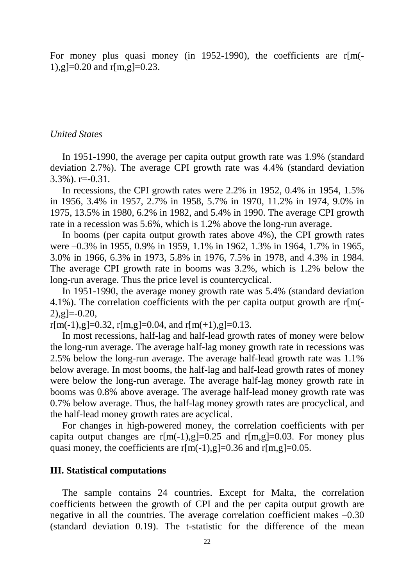For money plus quasi money (in 1952-1990), the coefficients are r[m(-1),g $]=0.20$  and r[m,g $]=0.23$ .

## *United States*

 In 1951-1990, the average per capita output growth rate was 1.9% (standard deviation 2.7%). The average CPI growth rate was 4.4% (standard deviation 3.3%). r=-0.31.

 In recessions, the CPI growth rates were 2.2% in 1952, 0.4% in 1954, 1.5% in 1956, 3.4% in 1957, 2.7% in 1958, 5.7% in 1970, 11.2% in 1974, 9.0% in 1975, 13.5% in 1980, 6.2% in 1982, and 5.4% in 1990. The average CPI growth rate in a recession was 5.6%, which is 1.2% above the long-run average.

 In booms (per capita output growth rates above 4%), the CPI growth rates were –0.3% in 1955, 0.9% in 1959, 1.1% in 1962, 1.3% in 1964, 1.7% in 1965, 3.0% in 1966, 6.3% in 1973, 5.8% in 1976, 7.5% in 1978, and 4.3% in 1984. The average CPI growth rate in booms was 3.2%, which is 1.2% below the long-run average. Thus the price level is countercyclical.

 In 1951-1990, the average money growth rate was 5.4% (standard deviation 4.1%). The correlation coefficients with the per capita output growth are r[m(-  $[2), \mathsf{g}$ ]=-0.20,

 $r[m(-1), g]=0.32$ ,  $r[m,g]=0.04$ , and  $r[m(+1), g]=0.13$ .

 In most recessions, half-lag and half-lead growth rates of money were below the long-run average. The average half-lag money growth rate in recessions was 2.5% below the long-run average. The average half-lead growth rate was 1.1% below average. In most booms, the half-lag and half-lead growth rates of money were below the long-run average. The average half-lag money growth rate in booms was 0.8% above average. The average half-lead money growth rate was 0.7% below average. Thus, the half-lag money growth rates are procyclical, and the half-lead money growth rates are acyclical.

 For changes in high-powered money, the correlation coefficients with per capita output changes are  $r[m(-1),g]=0.25$  and  $r[m,g]=0.03$ . For money plus quasi money, the coefficients are  $r[m(-1),g]=0.36$  and  $r[m,g]=0.05$ .

## **III. Statistical computations**

 The sample contains 24 countries. Except for Malta, the correlation coefficients between the growth of CPI and the per capita output growth are negative in all the countries. The average correlation coefficient makes –0.30 (standard deviation 0.19). The t-statistic for the difference of the mean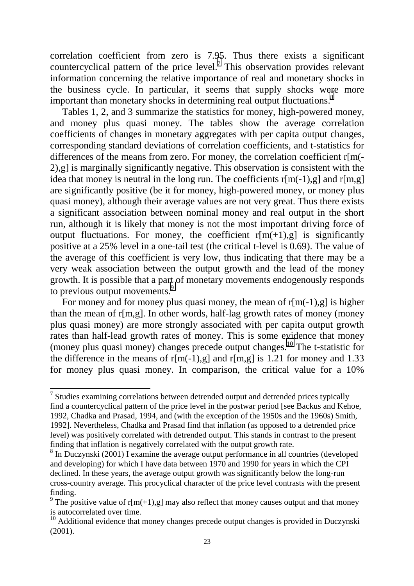correlation coefficient from zero is 7.95. Thus there exists a significant countercyclical pattern of the price level.<sup>7</sup> This observation provides relevant information concerning the relative importance of real and monetary shocks in the business cycle. In particular, it seems that supply shocks were more important than monetary shocks in determining real output fluctuations.<sup>8</sup>

 Tables 1, 2, and 3 summarize the statistics for money, high-powered money, and money plus quasi money. The tables show the average correlation coefficients of changes in monetary aggregates with per capita output changes, corresponding standard deviations of correlation coefficients, and t-statistics for differences of the means from zero. For money, the correlation coefficient r[m(- 2),g] is marginally significantly negative. This observation is consistent with the idea that money is neutral in the long run. The coefficients  $r[m(-1),g]$  and  $r[m,g]$ are significantly positive (be it for money, high-powered money, or money plus quasi money), although their average values are not very great. Thus there exists a significant association between nominal money and real output in the short run, although it is likely that money is not the most important driving force of output fluctuations. For money, the coefficient  $r[m(+1),g]$  is significantly positive at a 25% level in a one-tail test (the critical t-level is 0.69). The value of the average of this coefficient is very low, thus indicating that there may be a very weak association between the output growth and the lead of the money growth. It is possible that a part of monetary movements endogenously responds to previous output movements.<sup>9</sup>

For money and for money plus quasi money, the mean of  $r[m(-1),g]$  is higher than the mean of  $r[m,g]$ . In other words, half-lag growth rates of money (money plus quasi money) are more strongly associated with per capita output growth rates than half-lead growth rates of money. This is some evidence that money (money plus quasi money) changes precede output changes.<sup>10</sup> The t-statistic for the difference in the means of  $r[m(-1),g]$  and  $r[m,g]$  is 1.21 for money and 1.33 for money plus quasi money. In comparison, the critical value for a 10%

<sup>&</sup>lt;sup>7</sup> Studies examining correlations between detrended output and detrended prices typically find a countercyclical pattern of the price level in the postwar period [see Backus and Kehoe, 1992, Chadka and Prasad, 1994, and (with the exception of the 1950s and the 1960s) Smith, 1992]. Nevertheless, Chadka and Prasad find that inflation (as opposed to a detrended price level) was positively correlated with detrended output. This stands in contrast to the present finding that inflation is negatively correlated with the output growth rate.

<sup>&</sup>lt;sup>8</sup> In Duczynski (2001) I examine the average output performance in all countries (developed and developing) for which I have data between 1970 and 1990 for years in which the CPI declined. In these years, the average output growth was significantly below the long-run cross-country average. This procyclical character of the price level contrasts with the present finding.

<sup>&</sup>lt;sup>9</sup> The positive value of r[m(+1),g] may also reflect that money causes output and that money is autocorrelated over time.

 $10$  Additional evidence that money changes precede output changes is provided in Duczynski (2001).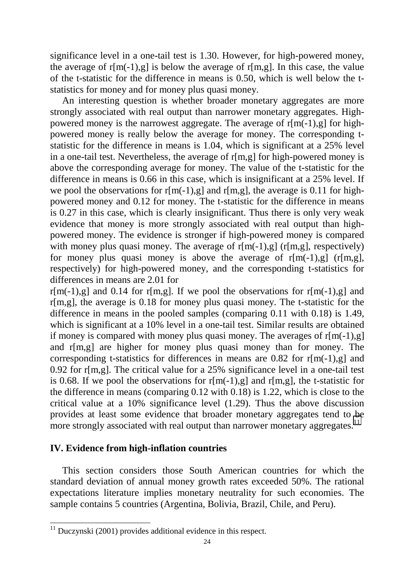significance level in a one-tail test is 1.30. However, for high-powered money, the average of  $r[m(-1),g]$  is below the average of  $r[m,g]$ . In this case, the value of the t-statistic for the difference in means is 0.50, which is well below the tstatistics for money and for money plus quasi money.

 An interesting question is whether broader monetary aggregates are more strongly associated with real output than narrower monetary aggregates. Highpowered money is the narrowest aggregate. The average of  $r[m(-1),g]$  for highpowered money is really below the average for money. The corresponding tstatistic for the difference in means is 1.04, which is significant at a 25% level in a one-tail test. Nevertheless, the average of r[m,g] for high-powered money is above the corresponding average for money. The value of the t-statistic for the difference in means is 0.66 in this case, which is insignificant at a 25% level. If we pool the observations for  $r[m(-1),g]$  and  $r[m,g]$ , the average is 0.11 for highpowered money and 0.12 for money. The t-statistic for the difference in means is 0.27 in this case, which is clearly insignificant. Thus there is only very weak evidence that money is more strongly associated with real output than highpowered money. The evidence is stronger if high-powered money is compared with money plus quasi money. The average of  $r[m(-1),g]$  ( $r[m,g]$ , respectively) for money plus quasi money is above the average of  $r[m(-1),g]$  ( $r[m,g]$ , respectively) for high-powered money, and the corresponding t-statistics for differences in means are 2.01 for

 $r[m(-1),g]$  and 0.14 for r[m,g]. If we pool the observations for r[m(-1),g] and r[m,g], the average is 0.18 for money plus quasi money. The t-statistic for the difference in means in the pooled samples (comparing 0.11 with 0.18) is 1.49, which is significant at a 10% level in a one-tail test. Similar results are obtained if money is compared with money plus quasi money. The averages of  $r[m(-1),g]$ and r[m,g] are higher for money plus quasi money than for money. The corresponding t-statistics for differences in means are 0.82 for  $r[m(-1),g]$  and 0.92 for r[m,g]. The critical value for a 25% significance level in a one-tail test is 0.68. If we pool the observations for  $r[m(-1),g]$  and  $r[m,g]$ , the t-statistic for the difference in means (comparing 0.12 with 0.18) is 1.22, which is close to the critical value at a 10% significance level (1.29). Thus the above discussion provides at least some evidence that broader monetary aggregates tend to be more strongly associated with real output than narrower monetary aggregates.<sup>11</sup>

## **IV. Evidence from high-inflation countries**

 $\overline{\phantom{a}}$ 

 This section considers those South American countries for which the standard deviation of annual money growth rates exceeded 50%. The rational expectations literature implies monetary neutrality for such economies. The sample contains 5 countries (Argentina, Bolivia, Brazil, Chile, and Peru).

 $11$  Duczynski (2001) provides additional evidence in this respect.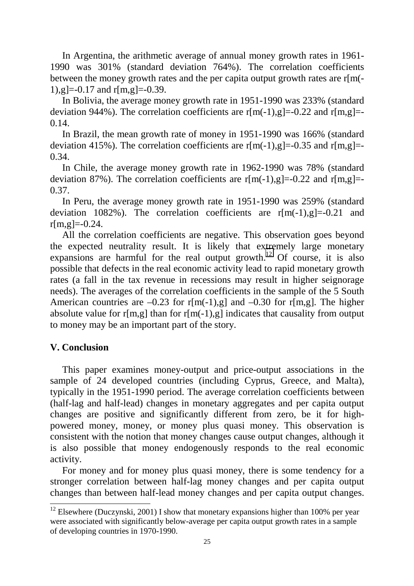In Argentina, the arithmetic average of annual money growth rates in 1961- 1990 was 301% (standard deviation 764%). The correlation coefficients between the money growth rates and the per capita output growth rates are r[m(- 1),  $g = -0.17$  and r[m,  $g = -0.39$ .

 In Bolivia, the average money growth rate in 1951-1990 was 233% (standard deviation 944%). The correlation coefficients are  $r[m(-1), g]=-0.22$  and  $r[m,g]=-$ 0.14.

 In Brazil, the mean growth rate of money in 1951-1990 was 166% (standard deviation 415%). The correlation coefficients are  $r[m(-1),g]=0.35$  and  $r[m,g]=-$ 0.34.

 In Chile, the average money growth rate in 1962-1990 was 78% (standard deviation 87%). The correlation coefficients are  $r[m(-1), g]=-0.22$  and  $r[m,g]=-$ 0.37.

 In Peru, the average money growth rate in 1951-1990 was 259% (standard deviation 1082%). The correlation coefficients are  $r[m(-1),g]=-0.21$  and  $r[m,g]=0.24$ .

 All the correlation coefficients are negative. This observation goes beyond the expected neutrality result. It is likely that extremely large monetary expansions are harmful for the real output growth.<sup>12</sup> Of course, it is also possible that defects in the real economic activity lead to rapid monetary growth rates (a fall in the tax revenue in recessions may result in higher seignorage needs). The averages of the correlation coefficients in the sample of the 5 South American countries are  $-0.23$  for r[m(-1),g] and  $-0.30$  for r[m,g]. The higher absolute value for r[m,g] than for r[m(-1),g] indicates that causality from output to money may be an important part of the story.

## **V. Conclusion**

 $\overline{a}$ 

 This paper examines money-output and price-output associations in the sample of 24 developed countries (including Cyprus, Greece, and Malta), typically in the 1951-1990 period. The average correlation coefficients between (half-lag and half-lead) changes in monetary aggregates and per capita output changes are positive and significantly different from zero, be it for highpowered money, money, or money plus quasi money. This observation is consistent with the notion that money changes cause output changes, although it is also possible that money endogenously responds to the real economic activity.

 For money and for money plus quasi money, there is some tendency for a stronger correlation between half-lag money changes and per capita output changes than between half-lead money changes and per capita output changes.

<sup>&</sup>lt;sup>12</sup> Elsewhere (Duczynski, 2001) I show that monetary expansions higher than 100% per year were associated with significantly below-average per capita output growth rates in a sample of developing countries in 1970-1990.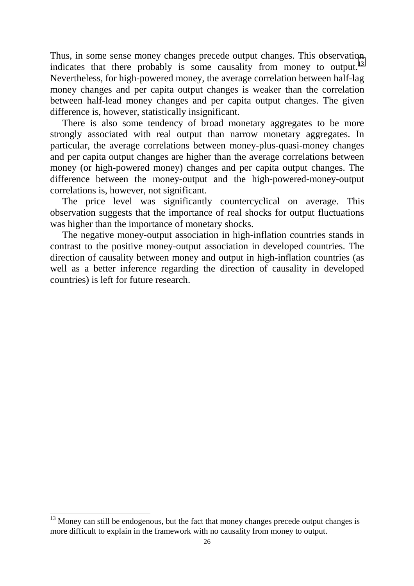Thus, in some sense money changes precede output changes. This observation indicates that there probably is some causality from money to output. $^{13}$ Nevertheless, for high-powered money, the average correlation between half-lag money changes and per capita output changes is weaker than the correlation between half-lead money changes and per capita output changes. The given difference is, however, statistically insignificant.

 There is also some tendency of broad monetary aggregates to be more strongly associated with real output than narrow monetary aggregates. In particular, the average correlations between money-plus-quasi-money changes and per capita output changes are higher than the average correlations between money (or high-powered money) changes and per capita output changes. The difference between the money-output and the high-powered-money-output correlations is, however, not significant.

 The price level was significantly countercyclical on average. This observation suggests that the importance of real shocks for output fluctuations was higher than the importance of monetary shocks.

 The negative money-output association in high-inflation countries stands in contrast to the positive money-output association in developed countries. The direction of causality between money and output in high-inflation countries (as well as a better inference regarding the direction of causality in developed countries) is left for future research.

 $\overline{a}$ 

 $13$  Money can still be endogenous, but the fact that money changes precede output changes is more difficult to explain in the framework with no causality from money to output.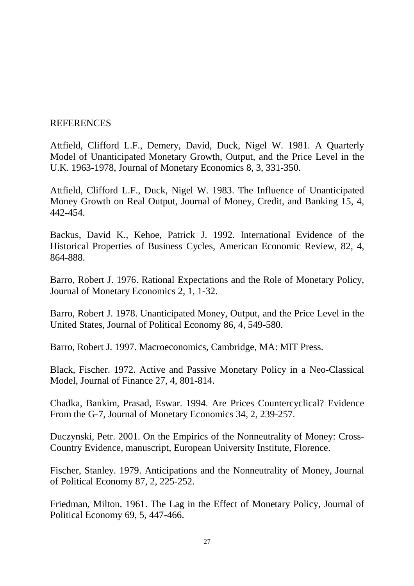## REFERENCES

Attfield, Clifford L.F., Demery, David, Duck, Nigel W. 1981. A Quarterly Model of Unanticipated Monetary Growth, Output, and the Price Level in the U.K. 1963-1978, Journal of Monetary Economics 8, 3, 331-350.

Attfield, Clifford L.F., Duck, Nigel W. 1983. The Influence of Unanticipated Money Growth on Real Output, Journal of Money, Credit, and Banking 15, 4, 442-454.

Backus, David K., Kehoe, Patrick J. 1992. International Evidence of the Historical Properties of Business Cycles, American Economic Review, 82, 4, 864-888.

Barro, Robert J. 1976. Rational Expectations and the Role of Monetary Policy, Journal of Monetary Economics 2, 1, 1-32.

Barro, Robert J. 1978. Unanticipated Money, Output, and the Price Level in the United States, Journal of Political Economy 86, 4, 549-580.

Barro, Robert J. 1997. Macroeconomics, Cambridge, MA: MIT Press.

Black, Fischer. 1972. Active and Passive Monetary Policy in a Neo-Classical Model, Journal of Finance 27, 4, 801-814.

Chadka, Bankim, Prasad, Eswar. 1994. Are Prices Countercyclical? Evidence From the G-7, Journal of Monetary Economics 34, 2, 239-257.

Duczynski, Petr. 2001. On the Empirics of the Nonneutrality of Money: Cross-Country Evidence, manuscript, European University Institute, Florence.

Fischer, Stanley. 1979. Anticipations and the Nonneutrality of Money, Journal of Political Economy 87, 2, 225-252.

Friedman, Milton. 1961. The Lag in the Effect of Monetary Policy, Journal of Political Economy 69, 5, 447-466.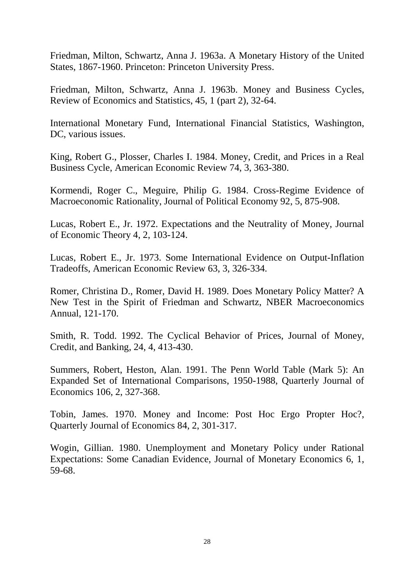Friedman, Milton, Schwartz, Anna J. 1963a. A Monetary History of the United States, 1867-1960. Princeton: Princeton University Press.

Friedman, Milton, Schwartz, Anna J. 1963b. Money and Business Cycles, Review of Economics and Statistics, 45, 1 (part 2), 32-64.

International Monetary Fund, International Financial Statistics, Washington, DC, various issues.

King, Robert G., Plosser, Charles I. 1984. Money, Credit, and Prices in a Real Business Cycle, American Economic Review 74, 3, 363-380.

Kormendi, Roger C., Meguire, Philip G. 1984. Cross-Regime Evidence of Macroeconomic Rationality, Journal of Political Economy 92, 5, 875-908.

Lucas, Robert E., Jr. 1972. Expectations and the Neutrality of Money, Journal of Economic Theory 4, 2, 103-124.

Lucas, Robert E., Jr. 1973. Some International Evidence on Output-Inflation Tradeoffs, American Economic Review 63, 3, 326-334.

Romer, Christina D., Romer, David H. 1989. Does Monetary Policy Matter? A New Test in the Spirit of Friedman and Schwartz, NBER Macroeconomics Annual, 121-170.

Smith, R. Todd. 1992. The Cyclical Behavior of Prices, Journal of Money, Credit, and Banking, 24, 4, 413-430.

Summers, Robert, Heston, Alan. 1991. The Penn World Table (Mark 5): An Expanded Set of International Comparisons, 1950-1988, Quarterly Journal of Economics 106, 2, 327-368.

Tobin, James. 1970. Money and Income: Post Hoc Ergo Propter Hoc?, Quarterly Journal of Economics 84, 2, 301-317.

Wogin, Gillian. 1980. Unemployment and Monetary Policy under Rational Expectations: Some Canadian Evidence, Journal of Monetary Economics 6, 1, 59-68.